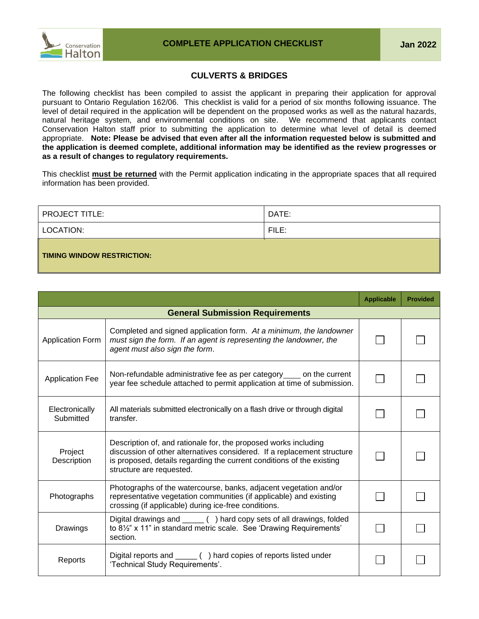

## **CULVERTS & BRIDGES**

The following checklist has been compiled to assist the applicant in preparing their application for approval pursuant to Ontario Regulation 162/06. This checklist is valid for a period of six months following issuance. The level of detail required in the application will be dependent on the proposed works as well as the natural hazards, natural heritage system, and environmental conditions on site. We recommend that applicants contact Conservation Halton staff prior to submitting the application to determine what level of detail is deemed appropriate. **Note: Please be advised that even after all the information requested below is submitted and the application is deemed complete, additional information may be identified as the review progresses or as a result of changes to regulatory requirements.**

This checklist **must be returned** with the Permit application indicating in the appropriate spaces that all required information has been provided.

| <b>PROJECT TITLE:</b>             | DATE: |  |  |  |
|-----------------------------------|-------|--|--|--|
| LOCATION:                         | FILE: |  |  |  |
| <b>TIMING WINDOW RESTRICTION:</b> |       |  |  |  |

|                             |                                                                                                                                                                                                                                                 | <b>Applicable</b> | <b>Provided</b> |
|-----------------------------|-------------------------------------------------------------------------------------------------------------------------------------------------------------------------------------------------------------------------------------------------|-------------------|-----------------|
|                             | <b>General Submission Requirements</b>                                                                                                                                                                                                          |                   |                 |
| <b>Application Form</b>     | Completed and signed application form. At a minimum, the landowner<br>must sign the form. If an agent is representing the landowner, the<br>agent must also sign the form.                                                                      |                   |                 |
| <b>Application Fee</b>      | Non-refundable administrative fee as per category _____ on the current<br>year fee schedule attached to permit application at time of submission.                                                                                               |                   |                 |
| Electronically<br>Submitted | All materials submitted electronically on a flash drive or through digital<br>transfer.                                                                                                                                                         |                   |                 |
| Project<br>Description      | Description of, and rationale for, the proposed works including<br>discussion of other alternatives considered. If a replacement structure<br>is proposed, details regarding the current conditions of the existing<br>structure are requested. |                   |                 |
| Photographs                 | Photographs of the watercourse, banks, adjacent vegetation and/or<br>representative vegetation communities (if applicable) and existing<br>crossing (if applicable) during ice-free conditions.                                                 |                   |                 |
| Drawings                    | Digital drawings and _____ () hard copy sets of all drawings, folded<br>to 8 <sup>1/2</sup> " x 11" in standard metric scale. See 'Drawing Requirements'<br>section.                                                                            |                   |                 |
| Reports                     | Digital reports and _____ () hard copies of reports listed under<br>'Technical Study Requirements'.                                                                                                                                             |                   |                 |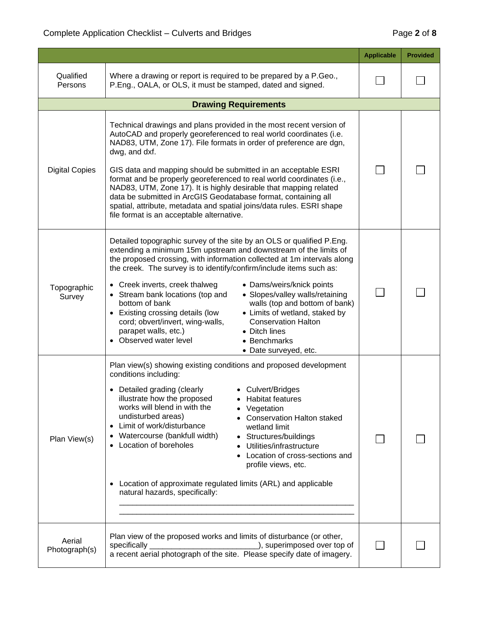|                         |                                                                                                                                                                                                                                                                                                                                                                                                                                                                                                                                                                                                                                                                                                                                           | <b>Applicable</b> | <b>Provided</b> |
|-------------------------|-------------------------------------------------------------------------------------------------------------------------------------------------------------------------------------------------------------------------------------------------------------------------------------------------------------------------------------------------------------------------------------------------------------------------------------------------------------------------------------------------------------------------------------------------------------------------------------------------------------------------------------------------------------------------------------------------------------------------------------------|-------------------|-----------------|
| Qualified<br>Persons    | Where a drawing or report is required to be prepared by a P.Geo.,<br>P.Eng., OALA, or OLS, it must be stamped, dated and signed.                                                                                                                                                                                                                                                                                                                                                                                                                                                                                                                                                                                                          |                   |                 |
|                         | <b>Drawing Requirements</b>                                                                                                                                                                                                                                                                                                                                                                                                                                                                                                                                                                                                                                                                                                               |                   |                 |
| <b>Digital Copies</b>   | Technical drawings and plans provided in the most recent version of<br>AutoCAD and properly georeferenced to real world coordinates (i.e.<br>NAD83, UTM, Zone 17). File formats in order of preference are dgn,<br>dwg, and dxf.<br>GIS data and mapping should be submitted in an acceptable ESRI<br>format and be properly georeferenced to real world coordinates (i.e.,<br>NAD83, UTM, Zone 17). It is highly desirable that mapping related<br>data be submitted in ArcGIS Geodatabase format, containing all<br>spatial, attribute, metadata and spatial joins/data rules. ESRI shape<br>file format is an acceptable alternative.                                                                                                  |                   |                 |
| Topographic<br>Survey   | Detailed topographic survey of the site by an OLS or qualified P.Eng.<br>extending a minimum 15m upstream and downstream of the limits of<br>the proposed crossing, with information collected at 1m intervals along<br>the creek. The survey is to identify/confirm/include items such as:<br>• Creek inverts, creek thalweg<br>• Dams/weirs/knick points<br>• Slopes/valley walls/retaining<br>• Stream bank locations (top and<br>bottom of bank<br>walls (top and bottom of bank)<br>• Existing crossing details (low<br>• Limits of wetland, staked by<br><b>Conservation Halton</b><br>cord; obvert/invert, wing-walls,<br>parapet walls, etc.)<br>• Ditch lines<br>• Observed water level<br>• Benchmarks<br>• Date surveyed, etc. |                   |                 |
| Plan View(s)            | Plan view(s) showing existing conditions and proposed development<br>conditions including:<br>• Detailed grading (clearly<br>• Culvert/Bridges<br>illustrate how the proposed<br><b>Habitat features</b><br>works will blend in with the<br>Vegetation<br>undisturbed areas)<br><b>Conservation Halton staked</b><br>Limit of work/disturbance<br>wetland limit<br>$\bullet$<br>Watercourse (bankfull width)<br>Structures/buildings<br>Location of boreholes<br>Utilities/infrastructure<br>Location of cross-sections and<br>profile views, etc.<br>Location of approximate regulated limits (ARL) and applicable<br>natural hazards, specifically:                                                                                     |                   |                 |
| Aerial<br>Photograph(s) | Plan view of the proposed works and limits of disturbance (or other,<br>_), superimposed over top of<br>specifically<br>a recent aerial photograph of the site. Please specify date of imagery.                                                                                                                                                                                                                                                                                                                                                                                                                                                                                                                                           |                   |                 |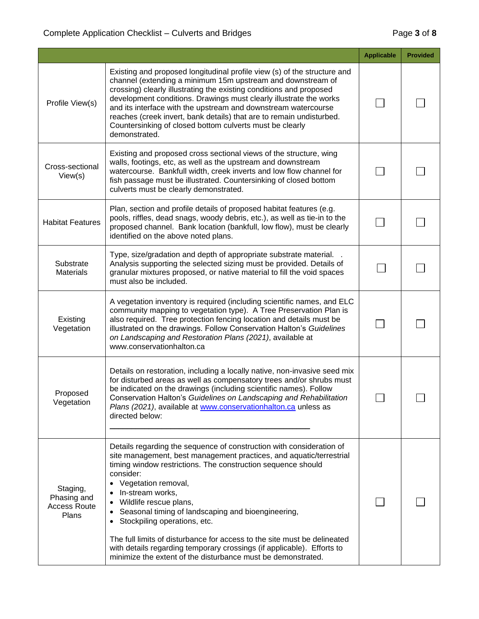|                                                         |                                                                                                                                                                                                                                                                                                                                                                                                                                                                                                                                                                                                                        | <b>Applicable</b> | <b>Provided</b> |
|---------------------------------------------------------|------------------------------------------------------------------------------------------------------------------------------------------------------------------------------------------------------------------------------------------------------------------------------------------------------------------------------------------------------------------------------------------------------------------------------------------------------------------------------------------------------------------------------------------------------------------------------------------------------------------------|-------------------|-----------------|
| Profile View(s)                                         | Existing and proposed longitudinal profile view (s) of the structure and<br>channel (extending a minimum 15m upstream and downstream of<br>crossing) clearly illustrating the existing conditions and proposed<br>development conditions. Drawings must clearly illustrate the works<br>and its interface with the upstream and downstream watercourse<br>reaches (creek invert, bank details) that are to remain undisturbed.<br>Countersinking of closed bottom culverts must be clearly<br>demonstrated.                                                                                                            |                   |                 |
| Cross-sectional<br>View(s)                              | Existing and proposed cross sectional views of the structure, wing<br>walls, footings, etc, as well as the upstream and downstream<br>watercourse. Bankfull width, creek inverts and low flow channel for<br>fish passage must be illustrated. Countersinking of closed bottom<br>culverts must be clearly demonstrated.                                                                                                                                                                                                                                                                                               |                   |                 |
| <b>Habitat Features</b>                                 | Plan, section and profile details of proposed habitat features (e.g.<br>pools, riffles, dead snags, woody debris, etc.), as well as tie-in to the<br>proposed channel. Bank location (bankfull, low flow), must be clearly<br>identified on the above noted plans.                                                                                                                                                                                                                                                                                                                                                     |                   |                 |
| Substrate<br><b>Materials</b>                           | Type, size/gradation and depth of appropriate substrate material. .<br>Analysis supporting the selected sizing must be provided. Details of<br>granular mixtures proposed, or native material to fill the void spaces<br>must also be included.                                                                                                                                                                                                                                                                                                                                                                        |                   |                 |
| Existing<br>Vegetation                                  | A vegetation inventory is required (including scientific names, and ELC<br>community mapping to vegetation type). A Tree Preservation Plan is<br>also required. Tree protection fencing location and details must be<br>illustrated on the drawings. Follow Conservation Halton's Guidelines<br>on Landscaping and Restoration Plans (2021), available at<br>www.conservationhalton.ca                                                                                                                                                                                                                                 |                   |                 |
| Proposed<br>Vegetation                                  | Details on restoration, including a locally native, non-invasive seed mix<br>for disturbed areas as well as compensatory trees and/or shrubs must<br>be indicated on the drawings (including scientific names). Follow<br>Conservation Halton's Guidelines on Landscaping and Rehabilitation<br>Plans (2021), available at www.conservationhalton.ca unless as<br>directed below:                                                                                                                                                                                                                                      |                   |                 |
| Staging,<br>Phasing and<br><b>Access Route</b><br>Plans | Details regarding the sequence of construction with consideration of<br>site management, best management practices, and aquatic/terrestrial<br>timing window restrictions. The construction sequence should<br>consider:<br>Vegetation removal,<br>$\bullet$<br>In-stream works,<br>Wildlife rescue plans,<br>Seasonal timing of landscaping and bioengineering,<br>Stockpiling operations, etc.<br>The full limits of disturbance for access to the site must be delineated<br>with details regarding temporary crossings (if applicable). Efforts to<br>minimize the extent of the disturbance must be demonstrated. |                   |                 |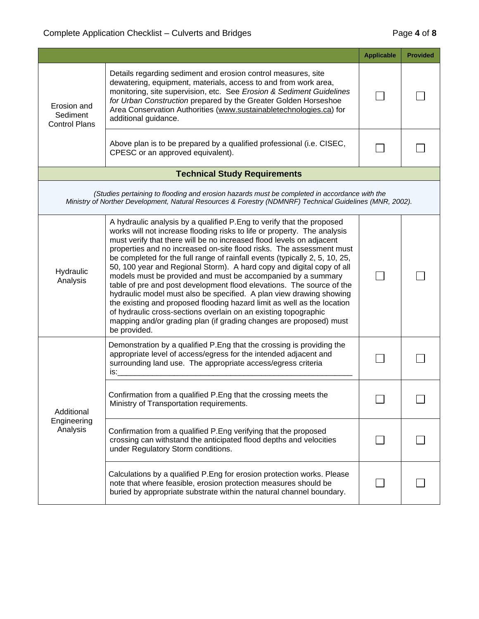|                                                 |                                                                                                                                                                                                                                                                                                                                                                                                                                                                                                                                                                                                                                                                                                                                                                                                                                                                                                               | <b>Applicable</b> | <b>Provided</b> |
|-------------------------------------------------|---------------------------------------------------------------------------------------------------------------------------------------------------------------------------------------------------------------------------------------------------------------------------------------------------------------------------------------------------------------------------------------------------------------------------------------------------------------------------------------------------------------------------------------------------------------------------------------------------------------------------------------------------------------------------------------------------------------------------------------------------------------------------------------------------------------------------------------------------------------------------------------------------------------|-------------------|-----------------|
| Erosion and<br>Sediment<br><b>Control Plans</b> | Details regarding sediment and erosion control measures, site<br>dewatering, equipment, materials, access to and from work area,<br>monitoring, site supervision, etc. See Erosion & Sediment Guidelines<br>for Urban Construction prepared by the Greater Golden Horseshoe<br>Area Conservation Authorities (www.sustainabletechnologies.ca) for<br>additional guidance.                                                                                                                                                                                                                                                                                                                                                                                                                                                                                                                                     |                   |                 |
|                                                 | Above plan is to be prepared by a qualified professional (i.e. CISEC,<br>CPESC or an approved equivalent).                                                                                                                                                                                                                                                                                                                                                                                                                                                                                                                                                                                                                                                                                                                                                                                                    |                   |                 |
|                                                 | <b>Technical Study Requirements</b>                                                                                                                                                                                                                                                                                                                                                                                                                                                                                                                                                                                                                                                                                                                                                                                                                                                                           |                   |                 |
|                                                 | (Studies pertaining to flooding and erosion hazards must be completed in accordance with the<br>Ministry of Norther Development, Natural Resources & Forestry (NDMNRF) Technical Guidelines (MNR, 2002).                                                                                                                                                                                                                                                                                                                                                                                                                                                                                                                                                                                                                                                                                                      |                   |                 |
| Hydraulic<br>Analysis                           | A hydraulic analysis by a qualified P.Eng to verify that the proposed<br>works will not increase flooding risks to life or property. The analysis<br>must verify that there will be no increased flood levels on adjacent<br>properties and no increased on-site flood risks. The assessment must<br>be completed for the full range of rainfall events (typically 2, 5, 10, 25,<br>50, 100 year and Regional Storm). A hard copy and digital copy of all<br>models must be provided and must be accompanied by a summary<br>table of pre and post development flood elevations. The source of the<br>hydraulic model must also be specified. A plan view drawing showing<br>the existing and proposed flooding hazard limit as well as the location<br>of hydraulic cross-sections overlain on an existing topographic<br>mapping and/or grading plan (if grading changes are proposed) must<br>be provided. |                   |                 |
| Additional<br>Engineering<br>Analysis           | Demonstration by a qualified P. Eng that the crossing is providing the<br>appropriate level of access/egress for the intended adjacent and<br>surrounding land use. The appropriate access/egress criteria<br>$is:$ $\qquad \qquad$                                                                                                                                                                                                                                                                                                                                                                                                                                                                                                                                                                                                                                                                           |                   |                 |
|                                                 | Confirmation from a qualified P. Eng that the crossing meets the<br>Ministry of Transportation requirements.                                                                                                                                                                                                                                                                                                                                                                                                                                                                                                                                                                                                                                                                                                                                                                                                  |                   |                 |
|                                                 | Confirmation from a qualified P. Eng verifying that the proposed<br>crossing can withstand the anticipated flood depths and velocities<br>under Regulatory Storm conditions.                                                                                                                                                                                                                                                                                                                                                                                                                                                                                                                                                                                                                                                                                                                                  |                   |                 |
|                                                 | Calculations by a qualified P. Eng for erosion protection works. Please<br>note that where feasible, erosion protection measures should be<br>buried by appropriate substrate within the natural channel boundary.                                                                                                                                                                                                                                                                                                                                                                                                                                                                                                                                                                                                                                                                                            |                   |                 |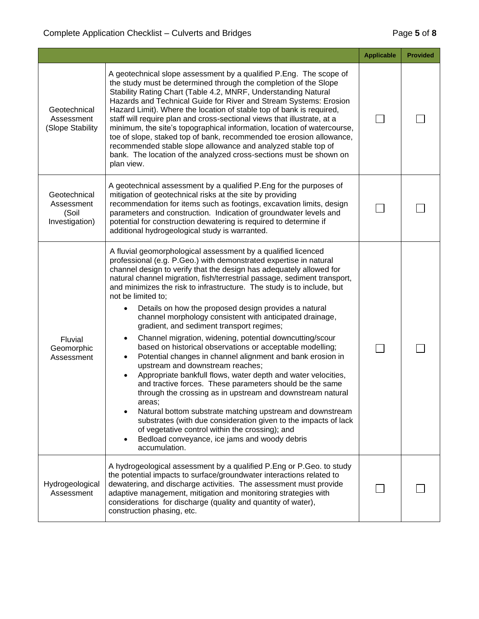|                                                       |                                                                                                                                                                                                                                                                                                                                                                                                                                                                                                                                                                                                                                                                                                                                                                                                                                                                                                                                                                                                                                                                                                                                                                                                                                                                                               | <b>Applicable</b> | <b>Provided</b> |
|-------------------------------------------------------|-----------------------------------------------------------------------------------------------------------------------------------------------------------------------------------------------------------------------------------------------------------------------------------------------------------------------------------------------------------------------------------------------------------------------------------------------------------------------------------------------------------------------------------------------------------------------------------------------------------------------------------------------------------------------------------------------------------------------------------------------------------------------------------------------------------------------------------------------------------------------------------------------------------------------------------------------------------------------------------------------------------------------------------------------------------------------------------------------------------------------------------------------------------------------------------------------------------------------------------------------------------------------------------------------|-------------------|-----------------|
| Geotechnical<br>Assessment<br>(Slope Stability        | A geotechnical slope assessment by a qualified P.Eng. The scope of<br>the study must be determined through the completion of the Slope<br>Stability Rating Chart (Table 4.2, MNRF, Understanding Natural<br>Hazards and Technical Guide for River and Stream Systems: Erosion<br>Hazard Limit). Where the location of stable top of bank is required,<br>staff will require plan and cross-sectional views that illustrate, at a<br>minimum, the site's topographical information, location of watercourse,<br>toe of slope, staked top of bank, recommended toe erosion allowance,<br>recommended stable slope allowance and analyzed stable top of<br>bank. The location of the analyzed cross-sections must be shown on<br>plan view.                                                                                                                                                                                                                                                                                                                                                                                                                                                                                                                                                      |                   |                 |
| Geotechnical<br>Assessment<br>(Soil<br>Investigation) | A geotechnical assessment by a qualified P.Eng for the purposes of<br>mitigation of geotechnical risks at the site by providing<br>recommendation for items such as footings, excavation limits, design<br>parameters and construction. Indication of groundwater levels and<br>potential for construction dewatering is required to determine if<br>additional hydrogeological study is warranted.                                                                                                                                                                                                                                                                                                                                                                                                                                                                                                                                                                                                                                                                                                                                                                                                                                                                                           |                   |                 |
| Fluvial<br>Geomorphic<br>Assessment                   | A fluvial geomorphological assessment by a qualified licenced<br>professional (e.g. P.Geo.) with demonstrated expertise in natural<br>channel design to verify that the design has adequately allowed for<br>natural channel migration, fish/terrestrial passage, sediment transport,<br>and minimizes the risk to infrastructure. The study is to include, but<br>not be limited to;<br>Details on how the proposed design provides a natural<br>$\bullet$<br>channel morphology consistent with anticipated drainage,<br>gradient, and sediment transport regimes;<br>Channel migration, widening, potential downcutting/scour<br>٠<br>based on historical observations or acceptable modelling;<br>Potential changes in channel alignment and bank erosion in<br>٠<br>upstream and downstream reaches;<br>Appropriate bankfull flows, water depth and water velocities,<br>$\bullet$<br>and tractive forces. These parameters should be the same<br>through the crossing as in upstream and downstream natural<br>areas;<br>Natural bottom substrate matching upstream and downstream<br>substrates (with due consideration given to the impacts of lack<br>of vegetative control within the crossing); and<br>Bedload conveyance, ice jams and woody debris<br>$\bullet$<br>accumulation. |                   |                 |
| Hydrogeological<br>Assessment                         | A hydrogeological assessment by a qualified P.Eng or P.Geo. to study<br>the potential impacts to surface/groundwater interactions related to<br>dewatering, and discharge activities. The assessment must provide<br>adaptive management, mitigation and monitoring strategies with<br>considerations for discharge (quality and quantity of water),<br>construction phasing, etc.                                                                                                                                                                                                                                                                                                                                                                                                                                                                                                                                                                                                                                                                                                                                                                                                                                                                                                            |                   |                 |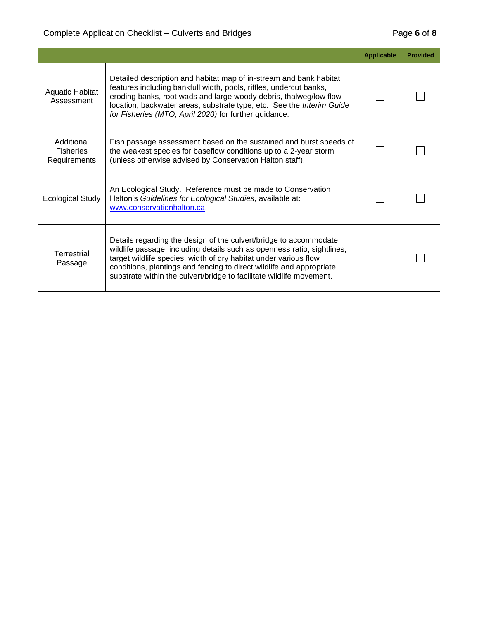|                                                |                                                                                                                                                                                                                                                                                                                                                                  | <b>Applicable</b> | <b>Provided</b> |
|------------------------------------------------|------------------------------------------------------------------------------------------------------------------------------------------------------------------------------------------------------------------------------------------------------------------------------------------------------------------------------------------------------------------|-------------------|-----------------|
| <b>Aquatic Habitat</b><br>Assessment           | Detailed description and habitat map of in-stream and bank habitat<br>features including bankfull width, pools, riffles, undercut banks,<br>eroding banks, root wads and large woody debris, thalweg/low flow<br>location, backwater areas, substrate type, etc. See the Interim Guide<br>for Fisheries (MTO, April 2020) for further guidance.                  |                   |                 |
| Additional<br><b>Fisheries</b><br>Requirements | Fish passage assessment based on the sustained and burst speeds of<br>the weakest species for baseflow conditions up to a 2-year storm<br>(unless otherwise advised by Conservation Halton staff).                                                                                                                                                               |                   |                 |
| <b>Ecological Study</b>                        | An Ecological Study. Reference must be made to Conservation<br>Halton's Guidelines for Ecological Studies, available at:<br>www.conservationhalton.ca.                                                                                                                                                                                                           |                   |                 |
| <b>Terrestrial</b><br>Passage                  | Details regarding the design of the culvert/bridge to accommodate<br>wildlife passage, including details such as openness ratio, sightlines,<br>target wildlife species, width of dry habitat under various flow<br>conditions, plantings and fencing to direct wildlife and appropriate<br>substrate within the culvert/bridge to facilitate wildlife movement. |                   |                 |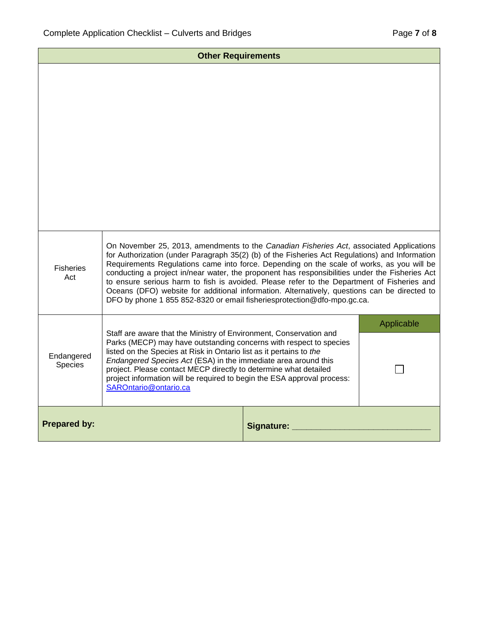| <b>Other Requirements</b>                                                                                                                                                                                                                                                                                                                                                                                                                                                                                                                                                                                                                                                                    |                                                                                                                                                                                                                                                                                                                                                                                                                                                           |            |            |
|----------------------------------------------------------------------------------------------------------------------------------------------------------------------------------------------------------------------------------------------------------------------------------------------------------------------------------------------------------------------------------------------------------------------------------------------------------------------------------------------------------------------------------------------------------------------------------------------------------------------------------------------------------------------------------------------|-----------------------------------------------------------------------------------------------------------------------------------------------------------------------------------------------------------------------------------------------------------------------------------------------------------------------------------------------------------------------------------------------------------------------------------------------------------|------------|------------|
|                                                                                                                                                                                                                                                                                                                                                                                                                                                                                                                                                                                                                                                                                              |                                                                                                                                                                                                                                                                                                                                                                                                                                                           |            |            |
| On November 25, 2013, amendments to the Canadian Fisheries Act, associated Applications<br>for Authorization (under Paragraph 35(2) (b) of the Fisheries Act Regulations) and Information<br>Requirements Regulations came into force. Depending on the scale of works, as you will be<br><b>Fisheries</b><br>conducting a project in/near water, the proponent has responsibilities under the Fisheries Act<br>Act<br>to ensure serious harm to fish is avoided. Please refer to the Department of Fisheries and<br>Oceans (DFO) website for additional information. Alternatively, questions can be directed to<br>DFO by phone 1 855 852-8320 or email fisheriesprotection@dfo-mpo.gc.ca. |                                                                                                                                                                                                                                                                                                                                                                                                                                                           |            |            |
|                                                                                                                                                                                                                                                                                                                                                                                                                                                                                                                                                                                                                                                                                              |                                                                                                                                                                                                                                                                                                                                                                                                                                                           |            | Applicable |
| Endangered<br>Species                                                                                                                                                                                                                                                                                                                                                                                                                                                                                                                                                                                                                                                                        | Staff are aware that the Ministry of Environment, Conservation and<br>Parks (MECP) may have outstanding concerns with respect to species<br>listed on the Species at Risk in Ontario list as it pertains to the<br>Endangered Species Act (ESA) in the immediate area around this<br>project. Please contact MECP directly to determine what detailed<br>project information will be required to begin the ESA approval process:<br>SAROntario@ontario.ca |            |            |
| <b>Prepared by:</b>                                                                                                                                                                                                                                                                                                                                                                                                                                                                                                                                                                                                                                                                          |                                                                                                                                                                                                                                                                                                                                                                                                                                                           | Signature: |            |